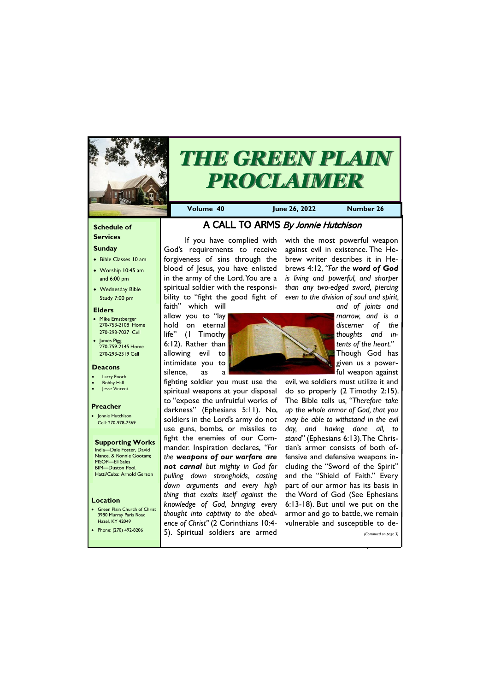#### **Schedule of Services**

## **Sunday**

- Bible Classes 10 am
- Worship 10:45 am and 6:00 pm
- Wednesday Bible Study 7:00 pm

• Green Plain Church of Christ 3980 Murray Paris Road  $H_{270}$  KY  $4'$ 

#### **Elders**

- Mike Ernstberger 270-753-2108 Home 270-293-7027 Cell
- James Pigg 270-759-2145 Home 270-293-2319 Cell

#### **Location**



# *THE GREEN PLAIN PROCLAIMER*

**Volume 40 June 26, 2022 Number 26**

#### **Deacons**

- **Larry Enoch**
- **Bobby Hall**
- **Jesse Vincent**

#### **Preacher**

• Jonnie Hutchison Cell: 270-978-7569

**Supporting Works** India—Dale Foster, David Nance. & Ronnie Gootam; MSOP—Eli Sales BIM—Duston Pool. Hatti/Cuba: Arnold Gerson

## A CALL TO ARMS By Jonnie Hutchison

If you have complied with God's requirements to receive forgiveness of sins through the blood of Jesus, you have enlisted in the army of the Lord. You are a spiritual soldier with the responsibility to "fight the good fight of

faith" which will allow you to "lay hold on eternal life" (1 Timothy 6:12). Rather than allowing evil to intimidate you to silence, as a

fighting soldier you must use the spiritual weapons at your disposal to "expose the unfruitful works of darkness" (Ephesians 5:11). No, soldiers in the Lord's army do not use guns, bombs, or missiles to fight the enemies of our Commander. Inspiration declares, *"For the weapons of our warfare are not carnal but mighty in God for pulling down strongholds, casting down arguments and every high thing that exalts itself against the knowledge of God, bringing every thought into captivity to the obedi-*



| Hazel, KY 42049       | ence of Christ" (2 Corinthians 10:4- vulnerable and susceptible to de- |                       |
|-----------------------|------------------------------------------------------------------------|-----------------------|
| Phone: (270) 492-8206 | [5]. Spiritual soldiers are armed                                      | (Continued on page 3) |
|                       |                                                                        |                       |

with the most powerful weapon against evil in existence. The Hebrew writer describes it in Hebrews 4:12, *"For the word of* **G***od is living and powerful, and sharper than any two-edged sword, piercing even to the division of soul and spirit,* 

> *and of joints and marrow, and is a discerner of the thoughts and intents of the heart."* Though God has given us a powerful weapon against

evil, we soldiers must utilize it and do so properly (2 Timothy 2:15). The Bible tells us*, "Therefore take up the whole armor of God, that you may be able to withstand in the evil day, and having done all, to stand"* (Ephesians 6:13). The Christian's armor consists of both offensive and defensive weapons including the "Sword of the Spirit" and the "Shield of Faith." Every part of our armor has its basis in the Word of God (See Ephesians 6:13-18). But until we put on the armor and go to battle, we remain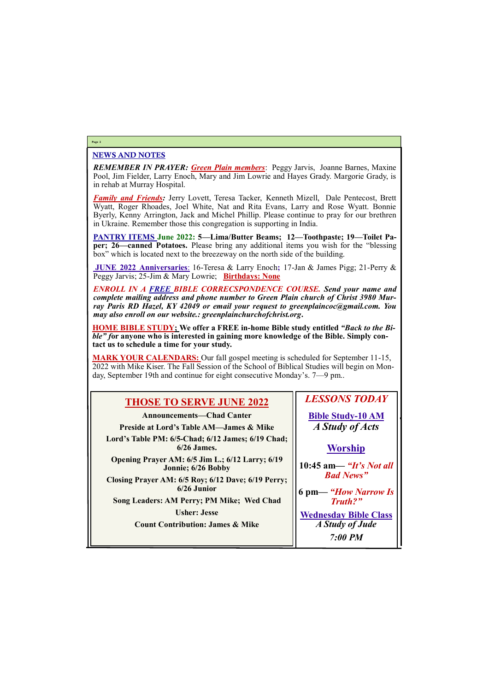## NEWS AND NOTES

*REMEMBER IN PRAYER: Green Plain members*: Peggy Jarvis, Joanne Barnes, Maxine Pool, Jim Fielder, Larry Enoch, Mary and Jim Lowrie and Hayes Grady. Margorie Grady, is in rehab at Murray Hospital.

*Family and Friends:* Jerry Lovett, Teresa Tacker, Kenneth Mizell, Dale Pentecost, Brett Wyatt, Roger Rhoades, Joel White, Nat and Rita Evans, Larry and Rose Wyatt. Bonnie Byerly, Kenny Arrington, Jack and Michel Phillip. Please continue to pray for our brethren in Ukraine. Remember those this congregation is supporting in India.

**PANTRY ITEMS June 2022: 5—Lima/Butter Beams; 12—Toothpaste; 19—Toilet Paper; 26—canned Potatoes.** Please bring any additional items you wish for the "blessing box" which is located next to the breezeway on the north side of the building.

**JUNE 2022 Anniversaries**: 16-Teresa & Larry Enoch**;** 17-Jan & James Pigg; 21-Perry & Peggy Jarvis; 25-Jim & Mary Lowrie; **Birthdays: None**

*ENROLL IN A FREE BIBLE CORRECSPONDENCE COURSE. Send your name and complete mailing address and phone number to Green Plain church of Christ 3980 Murray Paris RD Hazel, KY 42049 or email your request to greenplaincoc@gmail.com. You may also enroll on our website.: greenplainchurchofchrist.org***.**

**HOME BIBLE STUDY; We offer a FREE in-home Bible study entitled** *"Back to the Bible" f***or anyone who is interested in gaining more knowledge of the Bible. Simply contact us to schedule a time for your study.**

**MARK YOUR CALENDARS:** Our fall gospel meeting is scheduled for September 11-15, 2022 with Mike Kiser. The Fall Session of the School of Biblical Studies will begin on Monday, September 19th and continue for eight consecutive Monday's. 7—9 pm..

## **Page 2**

| <b>THOSE TO SERVE JUNE 2022</b>                                       | <b>LESSONS TODAY</b>                       |
|-----------------------------------------------------------------------|--------------------------------------------|
| <b>Announcements—Chad Canter</b>                                      | <b>Bible Study-10 AM</b>                   |
| <b>Preside at Lord's Table AM—James &amp; Mike</b>                    | A Study of Acts                            |
| Lord's Table PM: 6/5-Chad; 6/12 James; 6/19 Chad;<br>$6/26$ James.    | <b>Worship</b>                             |
| Opening Prayer AM: 6/5 Jim L.; 6/12 Larry; 6/19<br>Jonnie; 6/26 Bobby | 10:45 am— "It's Not all                    |
| Closing Prayer AM: 6/5 Roy; 6/12 Dave; 6/19 Perry;<br>$6/26$ Junior   | <b>Bad News</b> "<br>6 pm— "How Narrow Is" |
| Song Leaders: AM Perry; PM Mike; Wed Chad                             | <b>Truth?"</b>                             |

**Usher: Jesse**

| <b>Count Contribution: James &amp; Mike</b> | A Study of Jude |
|---------------------------------------------|-----------------|
|                                             | <b>7:00 PM</b>  |

**Wednesday Bible Class**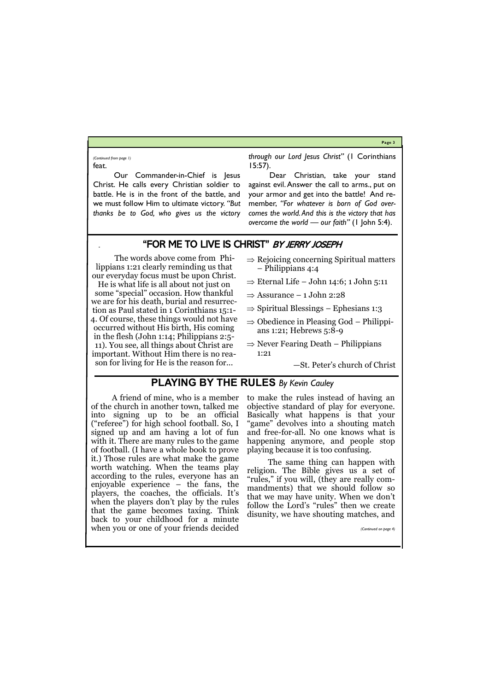## **Page 3**

Our Commander-in-Chief is Jesus Christ. He calls every Christian soldier to battle. He is in the front of the battle, and we must follow Him to ultimate victory. *"But thanks be to God, who gives us the victory*  *through our Lord Jesus Christ"* (1 Corinthians 15:57).

feat. *(Continued from page 1)*

> Dear Christian, take your stand against evil. Answer the call to arms., put on your armor and get into the battle! And remember, *"For whatever is born of God overcomes the world. And this is the victory that has overcome the world — our faith"* (1 John 5:4).

## "FOR ME TO LIVE IS CHRIST" BY JERRY JOSEPH

The words above come from Philippians 1:21 clearly reminding us that our everyday focus must be upon Christ.

- $\Rightarrow$  Rejoicing concerning Spiritual matters – Philippians 4:4
- $\Rightarrow$  Eternal Life John 14:6; 1 John 5:11
- $\Rightarrow$  Assurance 1 John 2:28
- $\Rightarrow$  Spiritual Blessings Ephesians 1:3
- $\Rightarrow$  Obedience in Pleasing God Philippians 1:21; Hebrews 5:8-9
- $\Rightarrow$  Never Fearing Death Philippians 1:21

He is what life is all about not just on some "special" occasion. How thankful we are for his death, burial and resurrection as Paul stated in 1 Corinthians 15:1- 4. Of course, these things would not have occurred without His birth, His coming in the flesh (John 1:14; Philippians 2:5- 11). You see, all things about Christ are important. Without Him there is no reason for living for He is the reason for...

—St. Peter's church of Christ

## **PLAYING BY THE RULES** *By Kevin Cauley*

A friend of mine, who is a member of the church in another town, talked me into signing up to be an official ("referee") for high school football. So, I signed up and am having a lot of fun with it. There are many rules to the game of football. (I have a whole book to prove it.) Those rules are what make the game worth watching. When the teams play according to the rules, everyone has an enjoyable experience – the fans, the players, the coaches, the officials. It's when the players don't play by the rules that the game becomes taxing. Think back to your childhood for a minute

when you or one of your friends decided

to make the rules instead of having an objective standard of play for everyone. Basically what happens is that your "game" devolves into a shouting match and free-for-all. No one knows what is happening anymore, and people stop playing because it is too confusing.

The same thing can happen with religion. The Bible gives us a set of "rules," if you will, (they are really commandments) that we should follow so that we may have unity. When we don't follow the Lord's "rules" then we create disunity, we have shouting matches, and

*(Continued on page 4)*